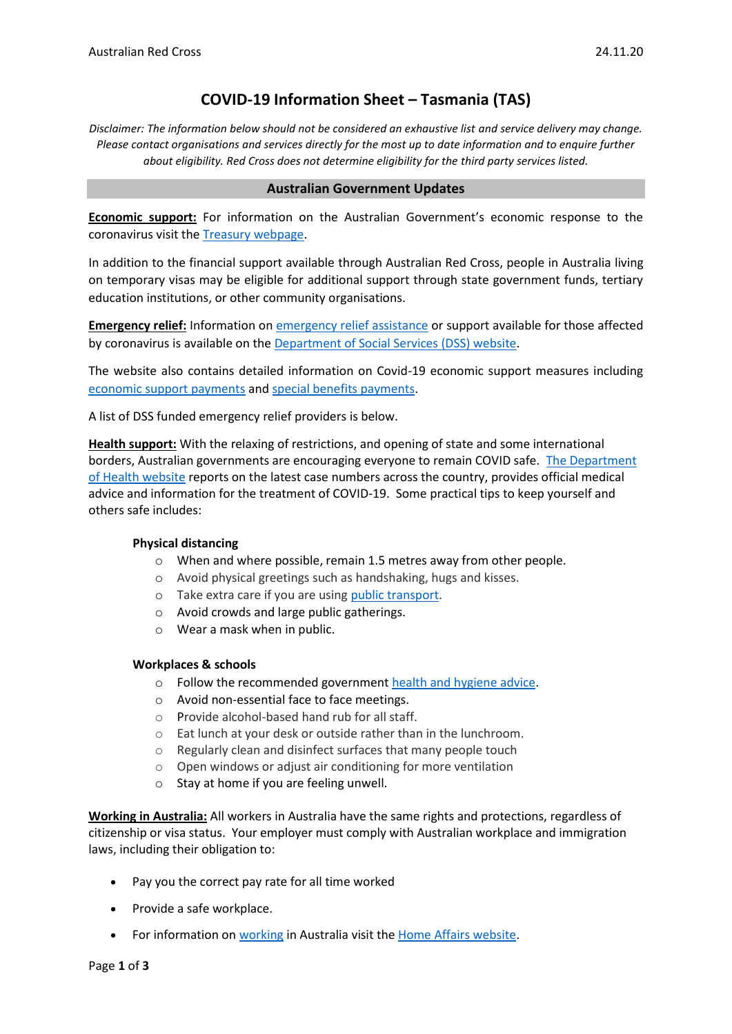# **COVID-19 Information Sheet – Tasmania (TAS)**

*Disclaimer: The information below should not be considered an exhaustive list and service delivery may change. Please contact organisations and services directly for the most up to date information and to enquire further about eligibility. Red Cross does not determine eligibility for the third party services listed.*

#### **Australian Government Updates**

**Economic support:** For information on the Australian Government's economic response to the coronavirus visit the [Treasury webpage.](https://treasury.gov.au/coronavirus)

In addition to the financial support available through Australian Red Cross, people in Australia living on temporary visas may be eligible for additional support through state government funds, tertiary education institutions, or other community organisations.

**Emergency relief:** Information o[n emergency relief assistance](https://www.dss.gov.au/about-the-department/coronavirus-covid-19-information-and-support/coronavirus-support-services) or support available for those affected by coronavirus is available on the [Department of Social Services \(DSS\) website.](https://www.dss.gov.au/about-the-department/coronavirus-covid-19-information-and-support)

The website also contains detailed information on Covid-19 economic support measures including [economic support payments](https://www.servicesaustralia.gov.au/individuals/subjects/coronavirus-covid-19-and-how-we-may-help) and [special benefits payments.](https://www.servicesaustralia.gov.au/individuals/services/centrelink/special-benefit)

A list of DSS funded emergency relief providers is below.

**Health support:** With the relaxing of restrictions, and opening of state and some international borders, Australian governments are encouraging everyone to remain COVID safe. [The Department](https://www.health.gov.au/news/health-alerts/novel-coronavirus-2019-ncov-health-alert)  [of Health website](https://www.health.gov.au/news/health-alerts/novel-coronavirus-2019-ncov-health-alert) reports on the latest case numbers across the country, provides official medical advice and information for the treatment of COVID-19. Some practical tips to keep yourself and others safe includes:

#### **Physical distancing**

- o When and where possible, remain 1.5 metres away from other people.
- o Avoid physical greetings such as handshaking, hugs and kisses.
- o Take extra care if you are using [public transport.](https://www.infrastructure.gov.au/transport/files/covid19_public_transport_principles_29052020.pdf)
- o Avoid crowds and large public gatherings.
- o Wear a mask when in public.

#### **Workplaces & schools**

- o Follow the recommended government [health and hygiene advice.](https://www.health.gov.au/news/health-alerts/novel-coronavirus-2019-ncov-health-alert/how-to-protect-yourself-and-others-from-coronavirus-covid-19/good-hygiene-for-coronavirus-covid-19)
- o Avoid non-essential face to face meetings.
- o Provide alcohol-based hand rub for all staff.
- o Eat lunch at your desk or outside rather than in the lunchroom.
- o Regularly clean and disinfect surfaces that many people touch
- o Open windows or adjust air conditioning for more ventilation
- o Stay at home if you are feeling unwell.

**Working in Australia:** All workers in Australia have the same rights and protections, regardless of citizenship or visa status. Your employer must comply with Australian workplace and immigration laws, including their obligation to:

- Pay you the correct pay rate for all time worked
- Provide a safe workplace.
- For information o[n working](https://immi.homeaffairs.gov.au/visas/getting-a-visa/visa-listing/student-500/temporary-relaxation-of-working-hours-for-student-visa-holders) in Australia visit the [Home Affairs website.](https://immi.homeaffairs.gov.au/visas/working-in-australia)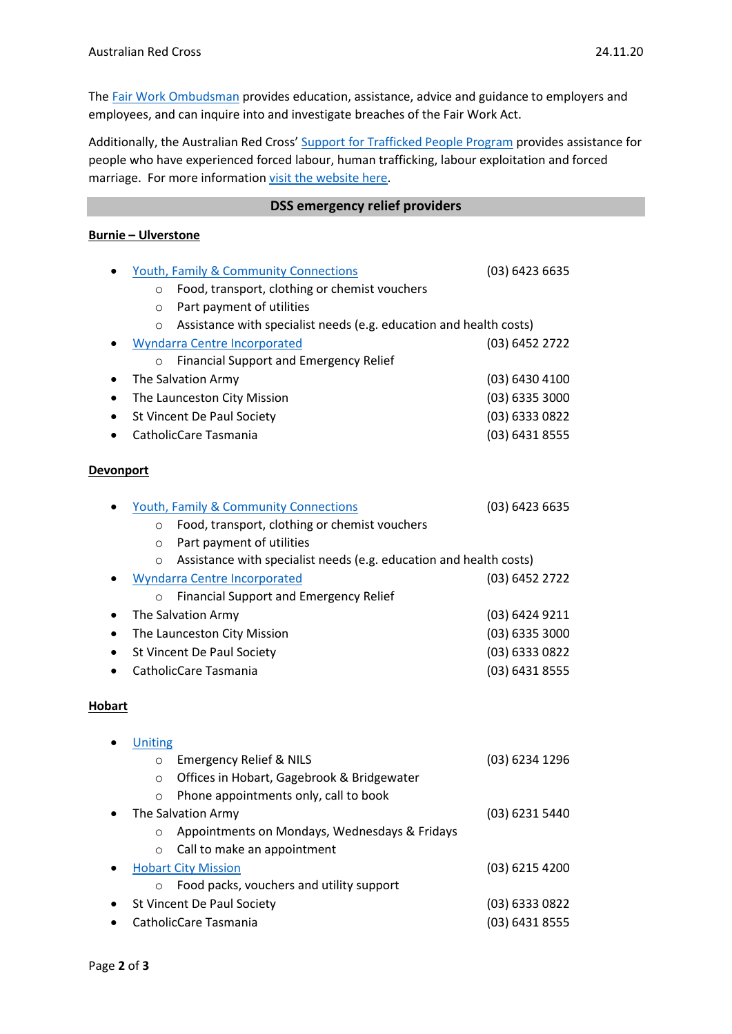The Fair Work [Ombudsman](https://www.fairwork.gov.au/) provides education, assistance, advice and guidance to employers and employees, and can inquire into and investigate breaches of the Fair Work Act.

Additionally, the Australian Red Cross' [Support for Trafficked People Program](https://www.redcross.org.au/get-help/help-for-migrants-in-transition/trafficked-people) provides assistance for people who have experienced forced labour, human trafficking, labour exploitation and forced marriage. For more information [visit the website here.](https://www.redcross.org.au/get-help/help-for-migrants-in-transition/trafficked-people)

#### **DSS emergency relief providers**

## **Burnie – Ulverstone**

| $\bullet$        | <b>Youth, Family &amp; Community Connections</b>                        | (03) 6423 6635   |  |
|------------------|-------------------------------------------------------------------------|------------------|--|
|                  | Food, transport, clothing or chemist vouchers<br>$\circ$                |                  |  |
|                  | Part payment of utilities<br>$\circ$                                    |                  |  |
|                  | Assistance with specialist needs (e.g. education and health costs)<br>O |                  |  |
| ٠                | <b>Wyndarra Centre Incorporated</b>                                     | (03) 6452 2722   |  |
|                  | Financial Support and Emergency Relief<br>$\circ$                       |                  |  |
| ٠                | The Salvation Army                                                      | (03) 6430 4100   |  |
| ٠                | The Launceston City Mission                                             | $(03)$ 6335 3000 |  |
| ٠                | St Vincent De Paul Society                                              | (03) 6333 0822   |  |
|                  | CatholicCare Tasmania                                                   | (03) 6431 8555   |  |
| <b>Devonport</b> |                                                                         |                  |  |
| $\bullet$        | <b>Youth, Family &amp; Community Connections</b>                        | $(03)$ 6423 6635 |  |
|                  | Food, transport, clothing or chemist vouchers<br>$\circ$                |                  |  |
|                  | Part payment of utilities<br>$\circ$                                    |                  |  |
|                  | Assistance with specialist needs (e.g. education and health costs)<br>O |                  |  |
| ٠                | <b>Wyndarra Centre Incorporated</b>                                     | (03) 6452 2722   |  |
|                  | <b>Financial Support and Emergency Relief</b><br>$\circ$                |                  |  |
| ٠                | The Salvation Army                                                      | (03) 6424 9211   |  |
| ٠                | The Launceston City Mission                                             | $(03)$ 6335 3000 |  |
| ٠                | St Vincent De Paul Society                                              | (03) 6333 0822   |  |
|                  | CatholicCare Tasmania                                                   | (03) 6431 8555   |  |
| <b>Hobart</b>    |                                                                         |                  |  |
|                  | Uniting                                                                 |                  |  |
|                  | <b>Emergency Relief &amp; NILS</b><br>$\circ$                           | (03) 6234 1296   |  |
|                  | Offices in Hobart, Gagebrook & Bridgewater<br>$\circ$                   |                  |  |
|                  | Phone appointments only, call to book<br>$\circ$                        |                  |  |
|                  | The Salvation Army                                                      | (03) 6231 5440   |  |
|                  | Appointments on Mondays, Wednesdays & Fridays<br>$\circ$                |                  |  |
|                  | Call to make an appointment<br>$\circ$                                  |                  |  |
|                  | <b>Hobart City Mission</b>                                              | (03) 6215 4200   |  |
|                  | Food packs, vouchers and utility support<br>O                           |                  |  |
|                  | St Vincent De Paul Society                                              | (03) 6333 0822   |  |
|                  | CatholicCare Tasmania                                                   | (03) 6431 8555   |  |